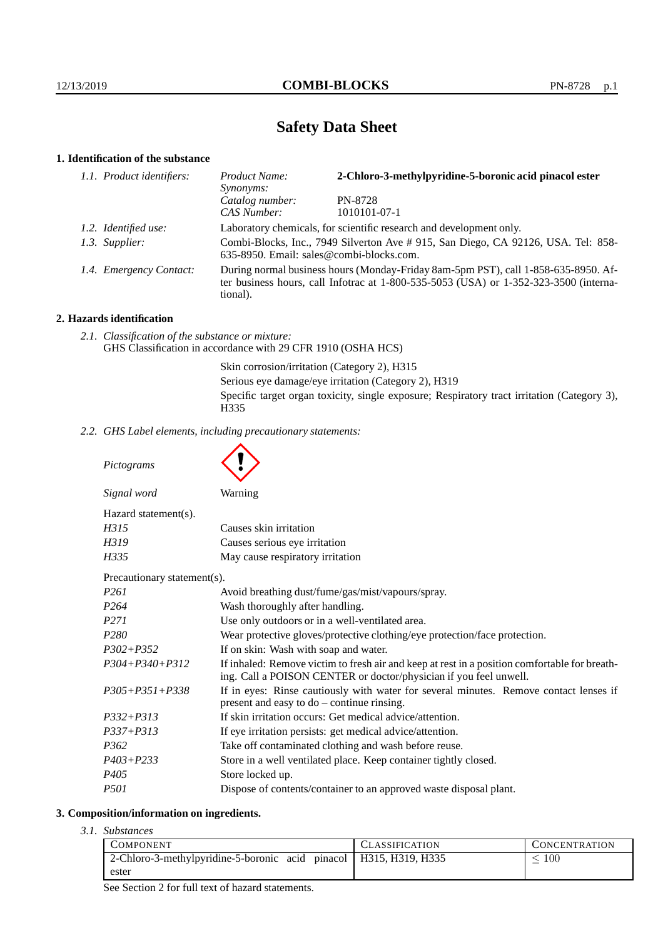# **Safety Data Sheet**

# **1. Identification of the substance**

| 1.1. Product identifiers: | 2-Chloro-3-methylpyridine-5-boronic acid pinacol ester<br>Product Name:<br>Synonyms:                                                                                                    |                |
|---------------------------|-----------------------------------------------------------------------------------------------------------------------------------------------------------------------------------------|----------------|
|                           | Catalog number:                                                                                                                                                                         | <b>PN-8728</b> |
|                           | CAS Number:                                                                                                                                                                             | 1010101-07-1   |
| 1.2. Identified use:      | Laboratory chemicals, for scientific research and development only.                                                                                                                     |                |
| 1.3. Supplier:            | Combi-Blocks, Inc., 7949 Silverton Ave # 915, San Diego, CA 92126, USA. Tel: 858-<br>635-8950. Email: sales@combi-blocks.com.                                                           |                |
| 1.4. Emergency Contact:   | During normal business hours (Monday-Friday 8am-5pm PST), call 1-858-635-8950. Af-<br>ter business hours, call Infotrac at 1-800-535-5053 (USA) or 1-352-323-3500 (interna-<br>tional). |                |

# **2. Hazards identification**

*2.1. Classification of the substance or mixture:* GHS Classification in accordance with 29 CFR 1910 (OSHA HCS)

> Skin corrosion/irritation (Category 2), H315 Serious eye damage/eye irritation (Category 2), H319 Specific target organ toxicity, single exposure; Respiratory tract irritation (Category 3), H335

*2.2. GHS Label elements, including precautionary statements:*

*Pictograms*

| Signal word                 | Warning                                                                                                                                                            |  |  |  |
|-----------------------------|--------------------------------------------------------------------------------------------------------------------------------------------------------------------|--|--|--|
| Hazard statement(s).        |                                                                                                                                                                    |  |  |  |
| H315                        | Causes skin irritation                                                                                                                                             |  |  |  |
| H319                        | Causes serious eye irritation                                                                                                                                      |  |  |  |
| H335                        | May cause respiratory irritation                                                                                                                                   |  |  |  |
| Precautionary statement(s). |                                                                                                                                                                    |  |  |  |
| P <sub>261</sub>            | Avoid breathing dust/fume/gas/mist/vapours/spray.                                                                                                                  |  |  |  |
| P <sub>264</sub>            | Wash thoroughly after handling.                                                                                                                                    |  |  |  |
| <i>P271</i>                 | Use only outdoors or in a well-ventilated area.                                                                                                                    |  |  |  |
| P <sub>280</sub>            | Wear protective gloves/protective clothing/eye protection/face protection.                                                                                         |  |  |  |
| $P302 + P352$               | If on skin: Wash with soap and water.                                                                                                                              |  |  |  |
| $P304 + P340 + P312$        | If inhaled: Remove victim to fresh air and keep at rest in a position comfortable for breath-<br>ing. Call a POISON CENTER or doctor/physician if you feel unwell. |  |  |  |
| $P305 + P351 + P338$        | If in eyes: Rinse cautiously with water for several minutes. Remove contact lenses if<br>present and easy to $do$ – continue rinsing.                              |  |  |  |
| $P332 + P313$               | If skin irritation occurs: Get medical advice/attention.                                                                                                           |  |  |  |
| $P337 + P313$               | If eye irritation persists: get medical advice/attention.                                                                                                          |  |  |  |
| P <sub>362</sub>            | Take off contaminated clothing and wash before reuse.                                                                                                              |  |  |  |
| $P403 + P233$               | Store in a well ventilated place. Keep container tightly closed.                                                                                                   |  |  |  |
| P <sub>405</sub>            | Store locked up.                                                                                                                                                   |  |  |  |
| <i>P501</i>                 | Dispose of contents/container to an approved waste disposal plant.                                                                                                 |  |  |  |

## **3. Composition/information on ingredients.**

*3.1. Substances*

| COMPONENT                                                           | <b>CLASSIFICATION</b> | CONCENTRATION |
|---------------------------------------------------------------------|-----------------------|---------------|
| 2-Chloro-3-methylpyridine-5-boronic acid pinacol   H315, H319, H335 |                       | 100           |
| ester                                                               |                       |               |

See Section 2 for full text of hazard statements.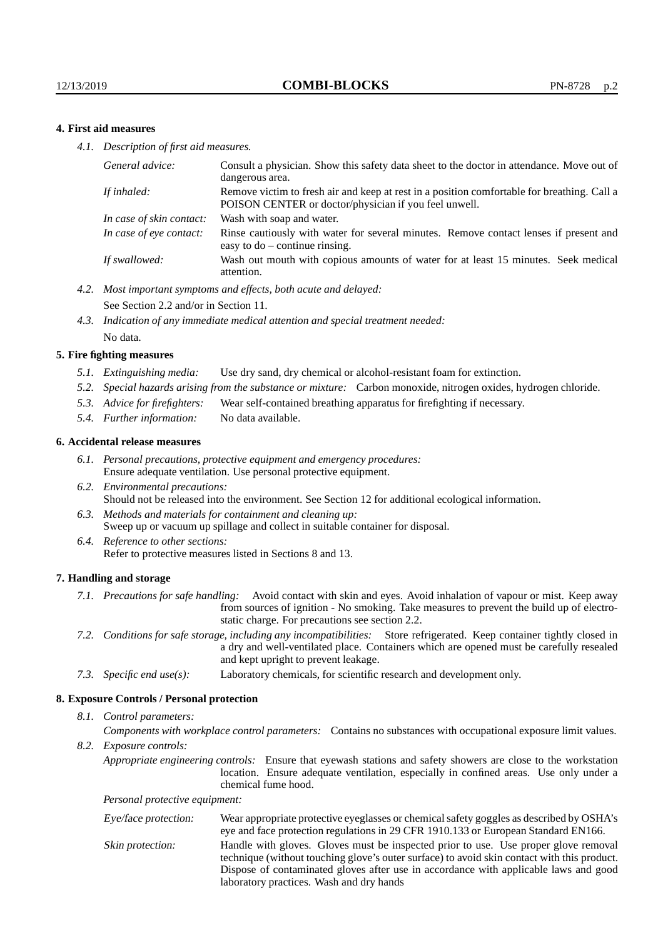## **4. First aid measures**

*4.1. Description of first aid measures.*

| General advice:          | Consult a physician. Show this safety data sheet to the doctor in attendance. Move out of<br>dangerous area.                                         |
|--------------------------|------------------------------------------------------------------------------------------------------------------------------------------------------|
| If inhaled:              | Remove victim to fresh air and keep at rest in a position comfortable for breathing. Call a<br>POISON CENTER or doctor/physician if you feel unwell. |
| In case of skin contact: | Wash with soap and water.                                                                                                                            |
| In case of eye contact:  | Rinse cautiously with water for several minutes. Remove contact lenses if present and<br>easy to $do$ – continue rinsing.                            |
| If swallowed:            | Wash out mouth with copious amounts of water for at least 15 minutes. Seek medical<br>attention.                                                     |

- *4.2. Most important symptoms and effects, both acute and delayed:* See Section 2.2 and/or in Section 11.
- *4.3. Indication of any immediate medical attention and special treatment needed:* No data.

#### **5. Fire fighting measures**

- *5.1. Extinguishing media:* Use dry sand, dry chemical or alcohol-resistant foam for extinction.
- *5.2. Special hazards arising from the substance or mixture:* Carbon monoxide, nitrogen oxides, hydrogen chloride.
- *5.3. Advice for firefighters:* Wear self-contained breathing apparatus for firefighting if necessary.
- *5.4. Further information:* No data available.

#### **6. Accidental release measures**

- *6.1. Personal precautions, protective equipment and emergency procedures:* Ensure adequate ventilation. Use personal protective equipment.
- *6.2. Environmental precautions:* Should not be released into the environment. See Section 12 for additional ecological information.
- *6.3. Methods and materials for containment and cleaning up:* Sweep up or vacuum up spillage and collect in suitable container for disposal.
- *6.4. Reference to other sections:* Refer to protective measures listed in Sections 8 and 13.

#### **7. Handling and storage**

- *7.1. Precautions for safe handling:* Avoid contact with skin and eyes. Avoid inhalation of vapour or mist. Keep away from sources of ignition - No smoking. Take measures to prevent the build up of electrostatic charge. For precautions see section 2.2.
- *7.2. Conditions for safe storage, including any incompatibilities:* Store refrigerated. Keep container tightly closed in a dry and well-ventilated place. Containers which are opened must be carefully resealed and kept upright to prevent leakage.
- *7.3. Specific end use(s):* Laboratory chemicals, for scientific research and development only.

#### **8. Exposure Controls / Personal protection**

*8.1. Control parameters:*

*Components with workplace control parameters:* Contains no substances with occupational exposure limit values.

*8.2. Exposure controls:*

*Appropriate engineering controls:* Ensure that eyewash stations and safety showers are close to the workstation location. Ensure adequate ventilation, especially in confined areas. Use only under a chemical fume hood.

*Personal protective equipment:*

| Eye/face protection: | Wear appropriate protective eyeglasses or chemical safety goggles as described by OSHA's<br>eye and face protection regulations in 29 CFR 1910.133 or European Standard EN166.                                                                                                                                         |
|----------------------|------------------------------------------------------------------------------------------------------------------------------------------------------------------------------------------------------------------------------------------------------------------------------------------------------------------------|
| Skin protection:     | Handle with gloves. Gloves must be inspected prior to use. Use proper glove removal<br>technique (without touching glove's outer surface) to avoid skin contact with this product.<br>Dispose of contaminated gloves after use in accordance with applicable laws and good<br>laboratory practices. Wash and dry hands |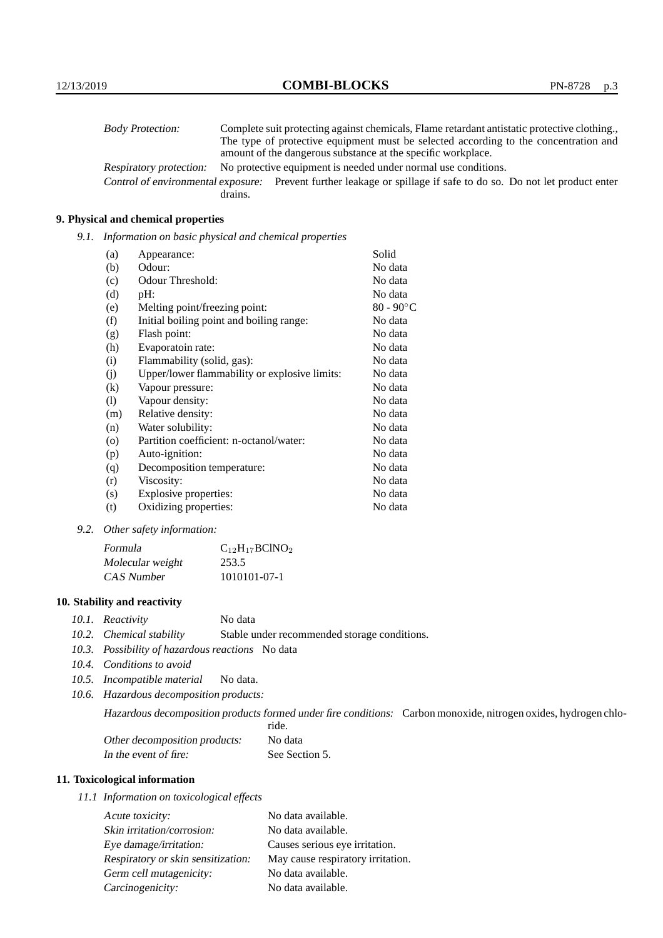| <b>Body Protection:</b>                                                                   |                                                              | Complete suit protecting against chemicals, Flame retardant antistatic protective clothing. |
|-------------------------------------------------------------------------------------------|--------------------------------------------------------------|---------------------------------------------------------------------------------------------|
|                                                                                           |                                                              | The type of protective equipment must be selected according to the concentration and        |
|                                                                                           | amount of the dangerous substance at the specific workplace. |                                                                                             |
| No protective equipment is needed under normal use conditions.<br>Respiratory protection: |                                                              |                                                                                             |
| Control of environmental exposure:                                                        |                                                              | Prevent further leakage or spillage if safe to do so. Do not let product enter              |
|                                                                                           | drains.                                                      |                                                                                             |

## **9. Physical and chemical properties**

*9.1. Information on basic physical and chemical properties*

| Appearance:                                   | Solid                      |
|-----------------------------------------------|----------------------------|
| Odour:                                        | No data                    |
| Odour Threshold:                              | No data                    |
| pH:                                           | No data                    |
| Melting point/freezing point:                 | $80 - 90^{\circ}C$         |
| Initial boiling point and boiling range:      | No data                    |
| Flash point:                                  | No data                    |
| Evaporatoin rate:                             | No data                    |
| Flammability (solid, gas):                    | No data                    |
| Upper/lower flammability or explosive limits: | No data                    |
| Vapour pressure:                              | No data                    |
| Vapour density:                               | No data                    |
| Relative density:                             | No data                    |
| Water solubility:                             | No data                    |
| Partition coefficient: n-octanol/water:       | No data                    |
| Auto-ignition:                                | No data                    |
|                                               | No data                    |
| Viscosity:                                    | No data                    |
| Explosive properties:                         | No data                    |
| Oxidizing properties:                         | No data                    |
|                                               | Decomposition temperature: |

*9.2. Other safety information:*

| Formula          | $C_{12}H_{17}BCINO_2$ |
|------------------|-----------------------|
| Molecular weight | 253.5                 |
| CAS Number       | 1010101-07-1          |

## **10. Stability and reactivity**

- *10.1. Reactivity* No data
- *10.2. Chemical stability* Stable under recommended storage conditions.
- *10.3. Possibility of hazardous reactions* No data
- *10.4. Conditions to avoid*
- *10.5. Incompatible material* No data.
- *10.6. Hazardous decomposition products:*

Hazardous decomposition products formed under fire conditions: Carbon monoxide, nitrogen oxides, hydrogen chlo-

|                               | ride.          |
|-------------------------------|----------------|
| Other decomposition products: | No data        |
| In the event of fire:         | See Section 5. |

# **11. Toxicological information**

*11.1 Information on toxicological effects*

| Acute toxicity:                    | No data available.                |
|------------------------------------|-----------------------------------|
| Skin irritation/corrosion:         | No data available.                |
| Eye damage/irritation:             | Causes serious eye irritation.    |
| Respiratory or skin sensitization: | May cause respiratory irritation. |
| Germ cell mutagenicity:            | No data available.                |
| Carcinogenicity:                   | No data available.                |